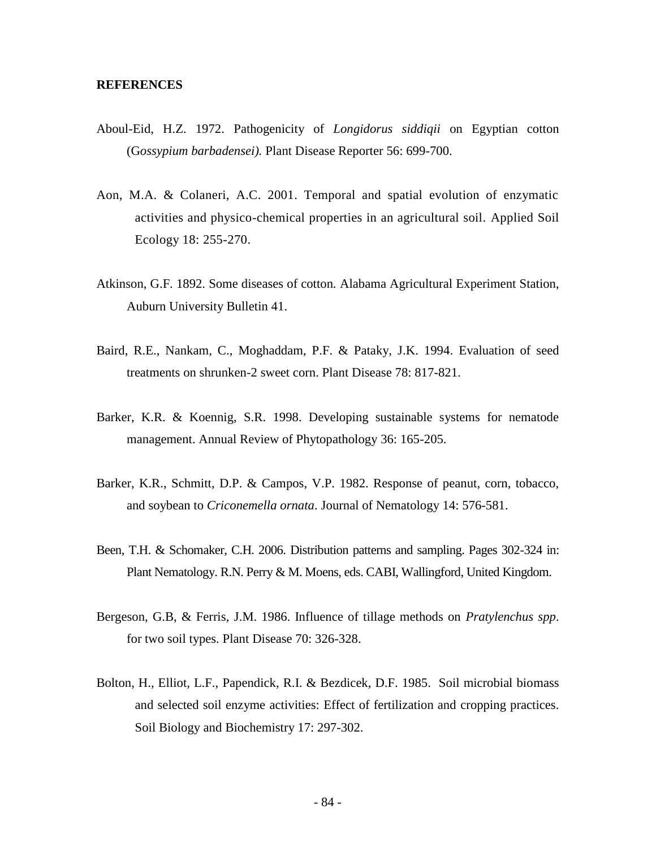## **REFERENCES**

- Aboul-Eid, H.Z. 1972. Pathogenicity of *Longidorus siddiqii* on Egyptian cotton (G*ossypium barbadensei).* Plant Disease Reporter 56: 699-700.
- Aon, M.A. & Colaneri, A.C. 2001. Temporal and spatial evolution of enzymatic activities and physico-chemical properties in an agricultural soil. Applied Soil Ecology 18: 255-270.
- Atkinson, G.F. 1892. Some diseases of cotton*.* Alabama Agricultural Experiment Station, Auburn University Bulletin 41.
- Baird, R.E., Nankam, C., Moghaddam, P.F. & Pataky, J.K. 1994. Evaluation of seed treatments on shrunken-2 sweet corn. Plant Disease 78: 817-821.
- Barker, K.R. & Koennig, S.R. 1998. Developing sustainable systems for nematode management. Annual Review of Phytopathology 36: 165-205.
- Barker, K.R., Schmitt, D.P. & Campos, V.P. 1982. Response of peanut, corn, tobacco, and soybean to *Criconemella ornata*. Journal of Nematology 14: 576-581.
- Been, T.H. & Schomaker, C.H. 2006. Distribution patterns and sampling. Pages 302-324 in: Plant Nematology. R.N. Perry & M. Moens, eds. CABI, Wallingford, United Kingdom.
- Bergeson, G.B, & Ferris, J.M. 1986. Influence of tillage methods on *Pratylenchus spp*. for two soil types. Plant Disease 70: 326-328.
- Bolton, H., Elliot, L.F., Papendick, R.I. & Bezdicek, D.F. 1985. Soil microbial biomass and selected soil enzyme activities: Effect of fertilization and cropping practices. Soil Biology and Biochemistry 17: 297-302.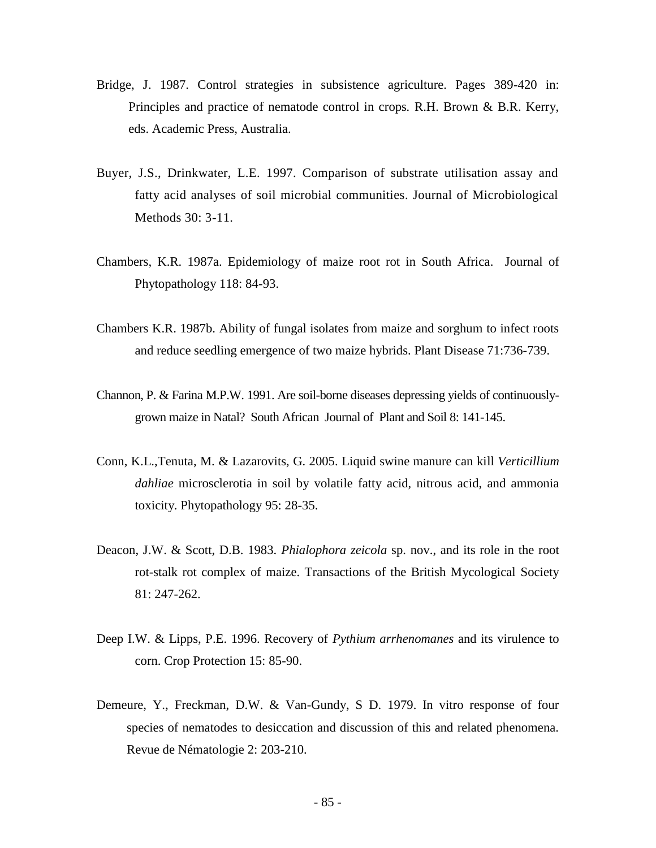- Bridge, J. 1987. Control strategies in subsistence agriculture. Pages 389-420 in: Principles and practice of nematode control in crops*.* R.H. Brown & B.R. Kerry, eds. Academic Press, Australia.
- Buyer, J.S., Drinkwater, L.E. 1997. Comparison of substrate utilisation assay and fatty acid analyses of soil microbial communities. Journal of Microbiological Methods 30: 3-11.
- Chambers, K.R. 1987a. Epidemiology of maize root rot in South Africa. Journal of Phytopathology 118: 84-93.
- Chambers K.R. 1987b. Ability of fungal isolates from maize and sorghum to infect roots and reduce seedling emergence of two maize hybrids. Plant Disease 71:736-739.
- Channon, P. & Farina M.P.W. 1991. Are soil-borne diseases depressing yields of continuouslygrown maize in Natal? South African Journal of Plant and Soil 8: 141-145.
- Conn, K.L.,Tenuta, M. & Lazarovits, G. 2005. Liquid swine manure can kill *Verticillium dahliae* microsclerotia in soil by volatile fatty acid, nitrous acid, and ammonia toxicity. Phytopathology 95: 28-35.
- Deacon, J.W. & Scott, D.B. 1983. *Phialophora zeicola* sp. nov., and its role in the root rot-stalk rot complex of maize. Transactions of the British Mycological Society 81: 247-262.
- Deep I.W. & Lipps, P.E. 1996. Recovery of *Pythium arrhenomanes* and its virulence to corn. Crop Protection 15: 85-90.
- Demeure, Y., Freckman, D.W. & Van-Gundy, S D. 1979. In vitro response of four species of nematodes to desiccation and discussion of this and related phenomena. Revue de Nématologie 2: 203-210.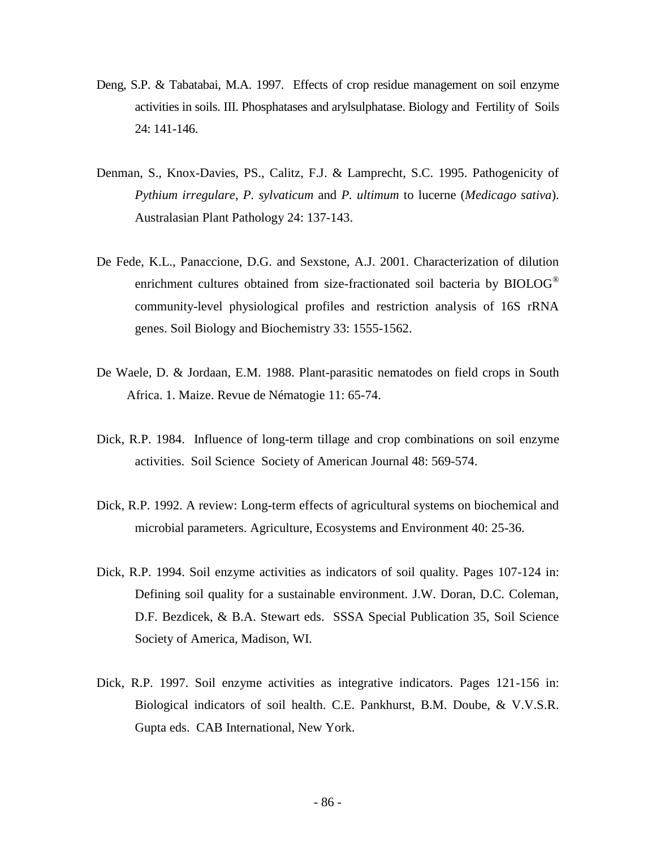- Deng, S.P. & Tabatabai, M.A. 1997. Effects of crop residue management on soil enzyme activities in soils. III. Phosphatases and arylsulphatase. Biology and Fertility of Soils 24: 141-146.
- Denman, S., Knox-Davies, PS., Calitz, F.J. & Lamprecht, S.C. 1995. Pathogenicity of *Pythium irregulare*, *P. sylvaticum* and *P. ultimum* to lucerne (*Medicago sativa*). Australasian Plant Pathology 24: 137-143.
- De Fede, K.L., Panaccione, D.G. and Sexstone, A.J. 2001. Characterization of dilution enrichment cultures obtained from size-fractionated soil bacteria by BIOLOG<sup>®</sup> community-level physiological profiles and restriction analysis of 16S rRNA genes. Soil Biology and Biochemistry 33: 1555-1562.
- De Waele, D. & Jordaan, E.M. 1988. Plant-parasitic nematodes on field crops in South Africa. 1. Maize. Revue de Nématogie 11: 65-74.
- Dick, R.P. 1984. Influence of long-term tillage and crop combinations on soil enzyme activities. Soil Science Society of American Journal 48: 569-574.
- Dick, R.P. 1992. A review: Long-term effects of agricultural systems on biochemical and microbial parameters. Agriculture, Ecosystems and Environment 40: 25-36.
- Dick, R.P. 1994. Soil enzyme activities as indicators of soil quality. Pages 107-124 in: Defining soil quality for a sustainable environment. J.W. Doran, D.C. Coleman, D.F. Bezdicek, & B.A. Stewart eds. SSSA Special Publication 35, Soil Science Society of America, Madison, WI.
- Dick, R.P. 1997. Soil enzyme activities as integrative indicators. Pages 121-156 in: Biological indicators of soil health. C.E. Pankhurst, B.M. Doube, & V.V.S.R. Gupta eds. CAB International, New York.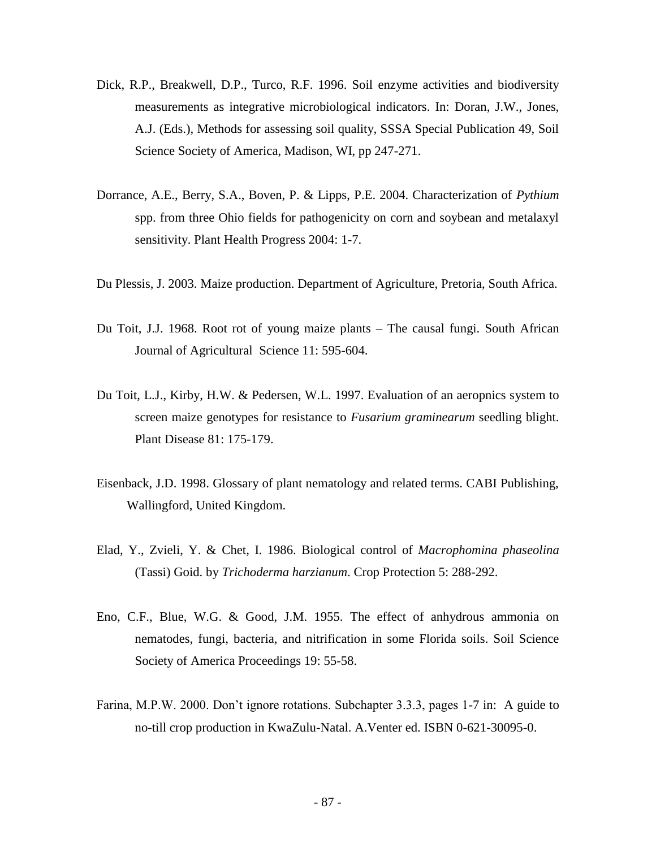- Dick, R.P., Breakwell, D.P., Turco, R.F. 1996. Soil enzyme activities and biodiversity measurements as integrative microbiological indicators. In: Doran, J.W., Jones, A.J. (Eds.), Methods for assessing soil quality, SSSA Special Publication 49, Soil Science Society of America, Madison, WI, pp 247-271.
- Dorrance, A.E., Berry, S.A., Boven, P. & Lipps, P.E. 2004. Characterization of *Pythium* spp. from three Ohio fields for pathogenicity on corn and soybean and metalaxyl sensitivity. Plant Health Progress 2004: 1-7.
- Du Plessis, J. 2003. Maize production. Department of Agriculture, Pretoria, South Africa.
- Du Toit, J.J. 1968. Root rot of young maize plants The causal fungi. South African Journal of Agricultural Science 11: 595-604.
- Du Toit, L.J., Kirby, H.W. & Pedersen, W.L. 1997. Evaluation of an aeropnics system to screen maize genotypes for resistance to *Fusarium graminearum* seedling blight. Plant Disease 81: 175-179.
- Eisenback, J.D. 1998. Glossary of plant nematology and related terms. CABI Publishing, Wallingford, United Kingdom.
- Elad, Y., Zvieli, Y. & Chet, I. 1986. Biological control of *Macrophomina phaseolina* (Tassi) Goid. by *Trichoderma harzianum*. Crop Protection 5: 288-292.
- Eno, C.F., Blue, W.G. & Good, J.M. 1955. The effect of anhydrous ammonia on nematodes, fungi, bacteria, and nitrification in some Florida soils. Soil Science Society of America Proceedings 19: 55-58.
- Farina, M.P.W. 2000. Don't ignore rotations. Subchapter 3.3.3, pages 1-7 in: A guide to no-till crop production in KwaZulu-Natal. A.Venter ed. ISBN 0-621-30095-0.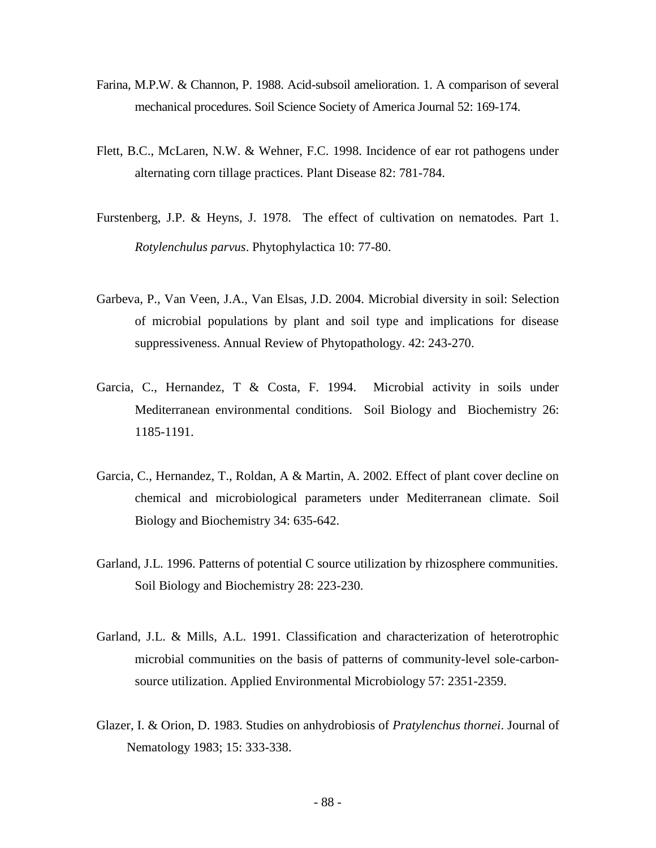- Farina, M.P.W. & Channon, P. 1988. Acid-subsoil amelioration. 1. A comparison of several mechanical procedures. Soil Science Society of America Journal 52: 169-174.
- Flett, B.C., McLaren, N.W. & Wehner, F.C. 1998. Incidence of ear rot pathogens under alternating corn tillage practices. Plant Disease 82: 781-784.
- Furstenberg, J.P. & Heyns, J. 1978. The effect of cultivation on nematodes. Part 1. *Rotylenchulus parvus*. Phytophylactica 10: 77-80.
- Garbeva, P., Van Veen, J.A., Van Elsas, J.D. 2004. Microbial diversity in soil: Selection of microbial populations by plant and soil type and implications for disease suppressiveness. Annual Review of Phytopathology. 42: 243-270.
- Garcia, C., Hernandez, T & Costa, F. 1994. Microbial activity in soils under Mediterranean environmental conditions. Soil Biology and Biochemistry 26: 1185-1191.
- Garcia, C., Hernandez, T., Roldan, A & Martin, A. 2002. Effect of plant cover decline on chemical and microbiological parameters under Mediterranean climate. Soil Biology and Biochemistry 34: 635-642.
- Garland, J.L. 1996. Patterns of potential C source utilization by rhizosphere communities. Soil Biology and Biochemistry 28: 223-230.
- Garland, J.L. & Mills, A.L. 1991. Classification and characterization of heterotrophic microbial communities on the basis of patterns of community-level sole-carbonsource utilization. Applied Environmental Microbiology 57: 2351-2359.
- Glazer, I. & Orion, D. 1983. Studies on anhydrobiosis of *Pratylenchus thornei*. Journal of Nematology 1983; 15: 333-338.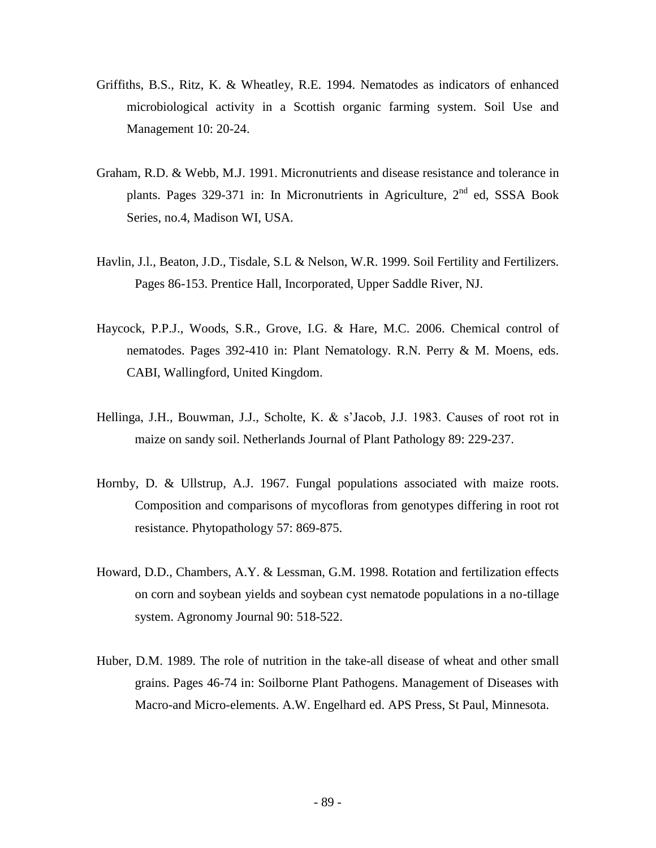- Griffiths, B.S., Ritz, K. & Wheatley, R.E. 1994. Nematodes as indicators of enhanced microbiological activity in a Scottish organic farming system. Soil Use and Management 10: 20-24.
- Graham, R.D. & Webb, M.J. 1991. Micronutrients and disease resistance and tolerance in plants. Pages 329-371 in: In Micronutrients in Agriculture,  $2<sup>nd</sup>$  ed, SSSA Book Series, no.4, Madison WI, USA.
- Havlin, J.l., Beaton, J.D., Tisdale, S.L & Nelson, W.R. 1999. Soil Fertility and Fertilizers. Pages 86-153. Prentice Hall, Incorporated, Upper Saddle River, NJ.
- Haycock, P.P.J., Woods, S.R., Grove, I.G. & Hare, M.C. 2006. Chemical control of nematodes. Pages 392-410 in: Plant Nematology. R.N. Perry & M. Moens, eds. CABI, Wallingford, United Kingdom.
- Hellinga, J.H., Bouwman, J.J., Scholte, K. & s'Jacob, J.J. 1983. Causes of root rot in maize on sandy soil. Netherlands Journal of Plant Pathology 89: 229-237.
- Hornby, D. & Ullstrup, A.J. 1967. Fungal populations associated with maize roots. Composition and comparisons of mycofloras from genotypes differing in root rot resistance. Phytopathology 57: 869-875.
- Howard, D.D., Chambers, A.Y. & Lessman, G.M. 1998. Rotation and fertilization effects on corn and soybean yields and soybean cyst nematode populations in a no-tillage system. Agronomy Journal 90: 518-522.
- Huber, D.M. 1989. The role of nutrition in the take-all disease of wheat and other small grains. Pages 46-74 in: Soilborne Plant Pathogens. Management of Diseases with Macro-and Micro-elements. A.W. Engelhard ed. APS Press, St Paul, Minnesota.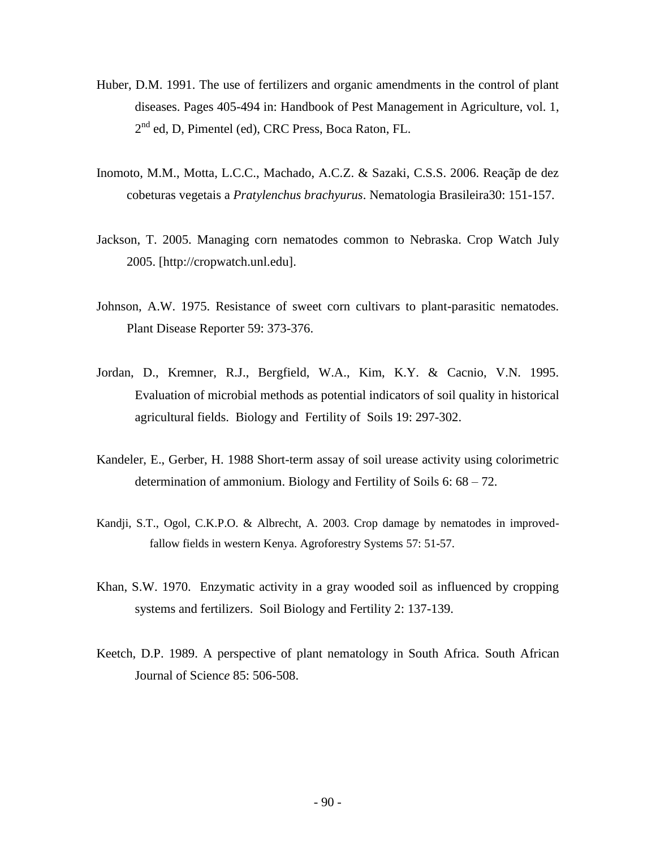- Huber, D.M. 1991. The use of fertilizers and organic amendments in the control of plant diseases. Pages 405-494 in: Handbook of Pest Management in Agriculture, vol. 1, 2<sup>nd</sup> ed, D, Pimentel (ed), CRC Press, Boca Raton, FL.
- Inomoto, M.M., Motta, L.C.C., Machado, A.C.Z. & Sazaki, C.S.S. 2006. Reaçãp de dez cobeturas vegetais a *Pratylenchus brachyurus*. Nematologia Brasileira30: 151-157.
- Jackson, T. 2005. Managing corn nematodes common to Nebraska. Crop Watch July 2005. [http://cropwatch.unl.edu].
- Johnson, A.W. 1975. Resistance of sweet corn cultivars to plant-parasitic nematodes. Plant Disease Reporter 59: 373-376.
- Jordan, D., Kremner, R.J., Bergfield, W.A., Kim, K.Y. & Cacnio, V.N. 1995. Evaluation of microbial methods as potential indicators of soil quality in historical agricultural fields. Biology and Fertility of Soils 19: 297-302.
- Kandeler, E., Gerber, H. 1988 Short-term assay of soil urease activity using colorimetric determination of ammonium. Biology and Fertility of Soils 6: 68 – 72.
- Kandji, S.T., Ogol, C.K.P.O. & Albrecht, A. 2003. Crop damage by nematodes in improvedfallow fields in western Kenya. Agroforestry Systems 57: 51-57.
- Khan, S.W. 1970. Enzymatic activity in a gray wooded soil as influenced by cropping systems and fertilizers. Soil Biology and Fertility 2: 137-139.
- Keetch, D.P. 1989. A perspective of plant nematology in South Africa. South African Journal of Scienc*e* 85: 506-508.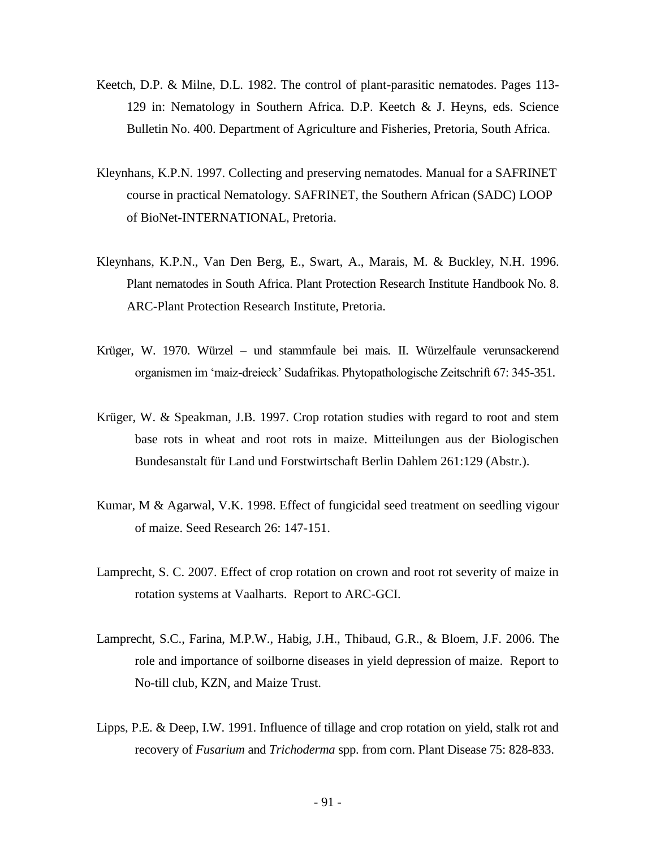- Keetch, D.P. & Milne, D.L. 1982. The control of plant-parasitic nematodes. Pages 113- 129 in: Nematology in Southern Africa. D.P. Keetch & J. Heyns, eds. Science Bulletin No. 400. Department of Agriculture and Fisheries, Pretoria, South Africa.
- Kleynhans, K.P.N. 1997. Collecting and preserving nematodes. Manual for a SAFRINET course in practical Nematology. SAFRINET, the Southern African (SADC) LOOP of BioNet-INTERNATIONAL, Pretoria.
- Kleynhans, K.P.N., Van Den Berg, E., Swart, A., Marais, M. & Buckley, N.H. 1996. Plant nematodes in South Africa. Plant Protection Research Institute Handbook No. 8. ARC-Plant Protection Research Institute, Pretoria.
- Krüger, W. 1970. Würzel und stammfaule bei mais. II. Würzelfaule verunsackerend organismen im 'maiz-dreieck' Sudafrikas. Phytopathologische Zeitschrift 67: 345-351.
- Krüger, W. & Speakman, J.B. 1997. Crop rotation studies with regard to root and stem base rots in wheat and root rots in maize. Mitteilungen aus der Biologischen Bundesanstalt für Land und Forstwirtschaft Berlin Dahlem 261:129 (Abstr.).
- Kumar, M & Agarwal, V.K. 1998. Effect of fungicidal seed treatment on seedling vigour of maize. Seed Research 26: 147-151.
- Lamprecht, S. C. 2007. Effect of crop rotation on crown and root rot severity of maize in rotation systems at Vaalharts. Report to ARC-GCI.
- Lamprecht, S.C., Farina, M.P.W., Habig, J.H., Thibaud, G.R., & Bloem, J.F. 2006. The role and importance of soilborne diseases in yield depression of maize. Report to No-till club, KZN, and Maize Trust.
- Lipps, P.E. & Deep, I.W. 1991. Influence of tillage and crop rotation on yield, stalk rot and recovery of *Fusarium* and *Trichoderma* spp. from corn. Plant Disease 75: 828-833.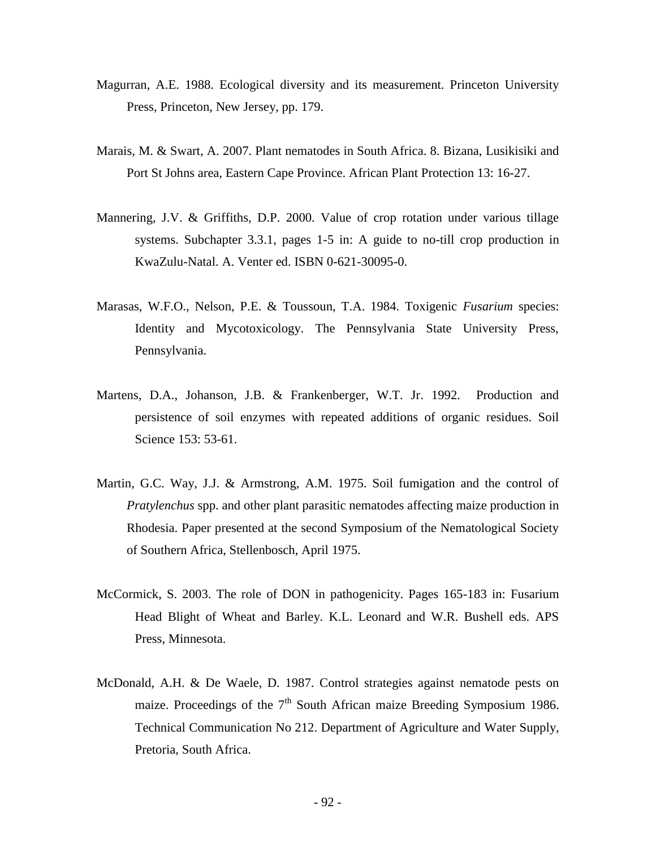- Magurran, A.E. 1988. Ecological diversity and its measurement. Princeton University Press, Princeton, New Jersey, pp. 179.
- Marais, M. & Swart, A. 2007. Plant nematodes in South Africa. 8. Bizana, Lusikisiki and Port St Johns area, Eastern Cape Province. African Plant Protection 13: 16-27.
- Mannering, J.V. & Griffiths, D.P. 2000. Value of crop rotation under various tillage systems. Subchapter 3.3.1, pages 1-5 in: A guide to no-till crop production in KwaZulu-Natal. A. Venter ed. ISBN 0-621-30095-0.
- Marasas, W.F.O., Nelson, P.E. & Toussoun, T.A. 1984. Toxigenic *Fusarium* species: Identity and Mycotoxicology. The Pennsylvania State University Press, Pennsylvania.
- Martens, D.A., Johanson, J.B. & Frankenberger, W.T. Jr. 1992. Production and persistence of soil enzymes with repeated additions of organic residues. Soil Science 153: 53-61.
- Martin, G.C. Way, J.J. & Armstrong, A.M. 1975. Soil fumigation and the control of *Pratylenchus* spp. and other plant parasitic nematodes affecting maize production in Rhodesia. Paper presented at the second Symposium of the Nematological Society of Southern Africa, Stellenbosch, April 1975.
- McCormick, S. 2003. The role of DON in pathogenicity. Pages 165-183 in: Fusarium Head Blight of Wheat and Barley. K.L. Leonard and W.R. Bushell eds. APS Press, Minnesota.
- McDonald, A.H. & De Waele, D. 1987. Control strategies against nematode pests on maize. Proceedings of the  $7<sup>th</sup>$  South African maize Breeding Symposium 1986. Technical Communication No 212. Department of Agriculture and Water Supply, Pretoria, South Africa.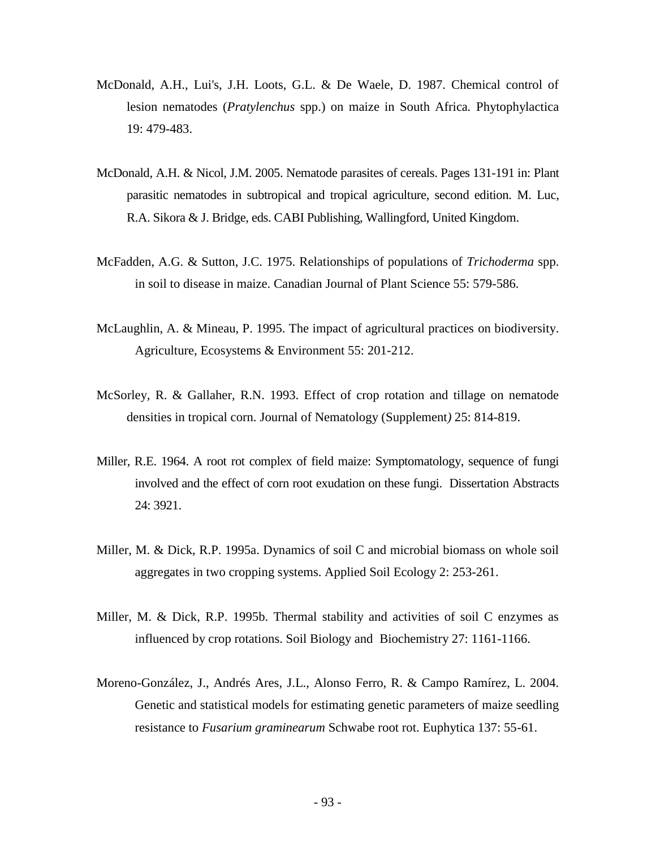- McDonald, A.H., Lui's, J.H. Loots, G.L. & De Waele, D. 1987. Chemical control of lesion nematodes (*Pratylenchus* spp.) on maize in South Africa*.* Phytophylactica 19: 479-483.
- McDonald, A.H. & Nicol, J.M. 2005. Nematode parasites of cereals. Pages 131-191 in: Plant parasitic nematodes in subtropical and tropical agriculture, second edition. M. Luc, R.A. Sikora & J. Bridge, eds. CABI Publishing, Wallingford, United Kingdom.
- McFadden, A.G. & Sutton, J.C. 1975. Relationships of populations of *Trichoderma* spp. in soil to disease in maize. Canadian Journal of Plant Science 55: 579-586.
- McLaughlin, A. & Mineau, P. 1995. The impact of agricultural practices on biodiversity. Agriculture, Ecosystems & Environment 55: 201-212.
- McSorley, R. & Gallaher, R.N. 1993. Effect of crop rotation and tillage on nematode densities in tropical corn. Journal of Nematology (Supplement*)* 25: 814-819.
- Miller, R.E. 1964. A root rot complex of field maize: Symptomatology, sequence of fungi involved and the effect of corn root exudation on these fungi. Dissertation Abstracts 24: 3921.
- Miller, M. & Dick, R.P. 1995a. Dynamics of soil C and microbial biomass on whole soil aggregates in two cropping systems. Applied Soil Ecology 2: 253-261.
- Miller, M. & Dick, R.P. 1995b. Thermal stability and activities of soil C enzymes as influenced by crop rotations. Soil Biology and Biochemistry 27: 1161-1166.
- Moreno-González, J., Andrés Ares, J.L., Alonso Ferro, R. & Campo Ramírez, L. 2004. Genetic and statistical models for estimating genetic parameters of maize seedling resistance to *Fusarium graminearum* Schwabe root rot. Euphytica 137: 55-61.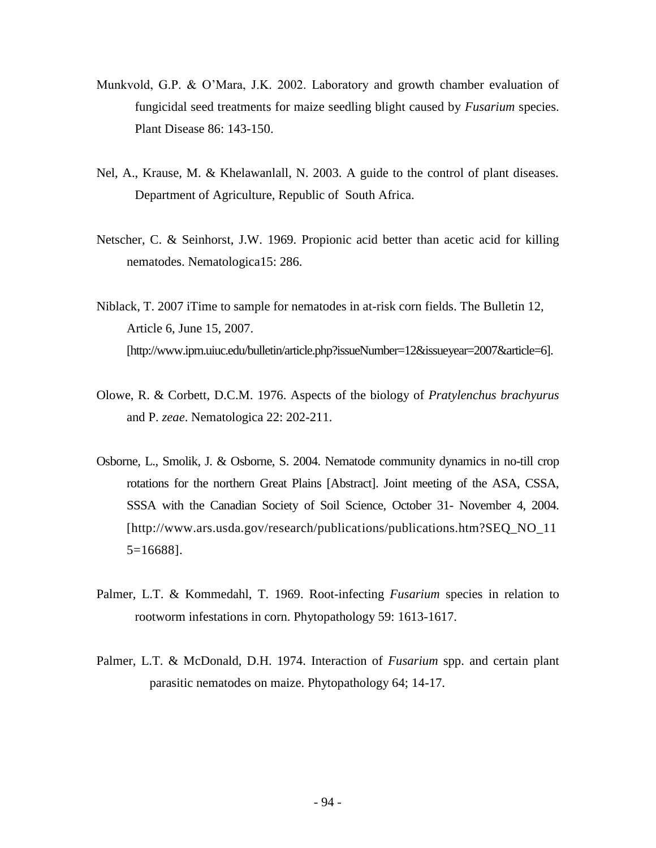- Munkvold, G.P. & O'Mara, J.K. 2002. Laboratory and growth chamber evaluation of fungicidal seed treatments for maize seedling blight caused by *Fusarium* species. Plant Disease 86: 143-150.
- Nel, A., Krause, M. & Khelawanlall, N. 2003. A guide to the control of plant diseases. Department of Agriculture, Republic of South Africa.
- Netscher, C. & Seinhorst, J.W. 1969. Propionic acid better than acetic acid for killing nematodes. Nematologica15: 286.
- Niblack, T. 2007 iTime to sample for nematodes in at-risk corn fields. The Bulletin 12, Article 6, June 15, 2007. [http://www.ipm.uiuc.edu/bulletin/article.php?issueNumber=12&issueyear=2007&article=6].
- Olowe, R. & Corbett, D.C.M. 1976. Aspects of the biology of *Pratylenchus brachyurus* and P. *zeae*. Nematologica 22: 202-211.
- Osborne, L., Smolik, J. & Osborne, S. 2004. Nematode community dynamics in no-till crop rotations for the northern Great Plains [Abstract]. Joint meeting of the ASA, CSSA, SSSA with the Canadian Society of Soil Science, October 31- November 4, 2004. [http://www.ars.usda.gov/research/publications/publications.htm?SEQ\_NO\_11 5=16688].
- Palmer, L.T. & Kommedahl, T. 1969. Root-infecting *Fusarium* species in relation to rootworm infestations in corn. Phytopathology 59: 1613-1617.
- Palmer, L.T. & McDonald, D.H. 1974. Interaction of *Fusarium* spp. and certain plant parasitic nematodes on maize. Phytopathology 64; 14-17.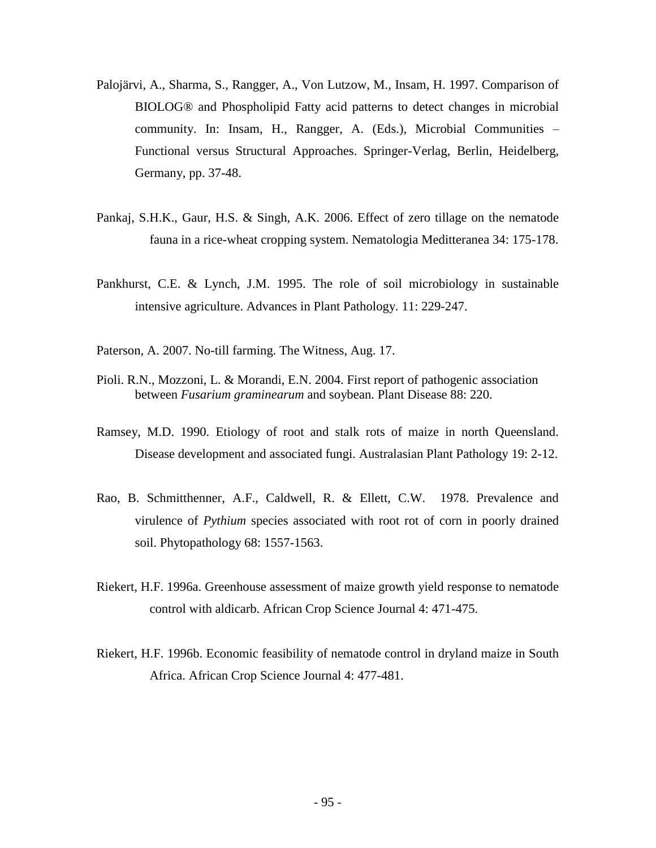- Palojärvi, A., Sharma, S., Rangger, A., Von Lutzow, M., Insam, H. 1997. Comparison of BIOLOG® and Phospholipid Fatty acid patterns to detect changes in microbial community. In: Insam, H., Rangger, A. (Eds.), Microbial Communities – Functional versus Structural Approaches. Springer-Verlag, Berlin, Heidelberg, Germany, pp. 37-48.
- Pankaj, S.H.K., Gaur, H.S. & Singh, A.K. 2006. Effect of zero tillage on the nematode fauna in a rice-wheat cropping system. Nematologia Meditteranea 34: 175-178.
- Pankhurst, C.E. & Lynch, J.M. 1995. The role of soil microbiology in sustainable intensive agriculture. Advances in Plant Pathology. 11: 229-247.
- Paterson, A. 2007. No-till farming. The Witness, Aug. 17.
- Pioli. R.N., Mozzoni, L. & Morandi, E.N. 2004. First report of pathogenic association between *Fusarium graminearum* and soybean. Plant Disease 88: 220.
- Ramsey, M.D. 1990. Etiology of root and stalk rots of maize in north Queensland. Disease development and associated fungi. Australasian Plant Pathology 19: 2-12.
- Rao, B. Schmitthenner, A.F., Caldwell, R. & Ellett, C.W. 1978. Prevalence and virulence of *Pythium* species associated with root rot of corn in poorly drained soil. Phytopathology 68: 1557-1563.
- Riekert, H.F. 1996a. Greenhouse assessment of maize growth yield response to nematode control with aldicarb. African Crop Science Journal 4: 471-475.
- Riekert, H.F. 1996b. Economic feasibility of nematode control in dryland maize in South Africa. African Crop Science Journal 4: 477-481.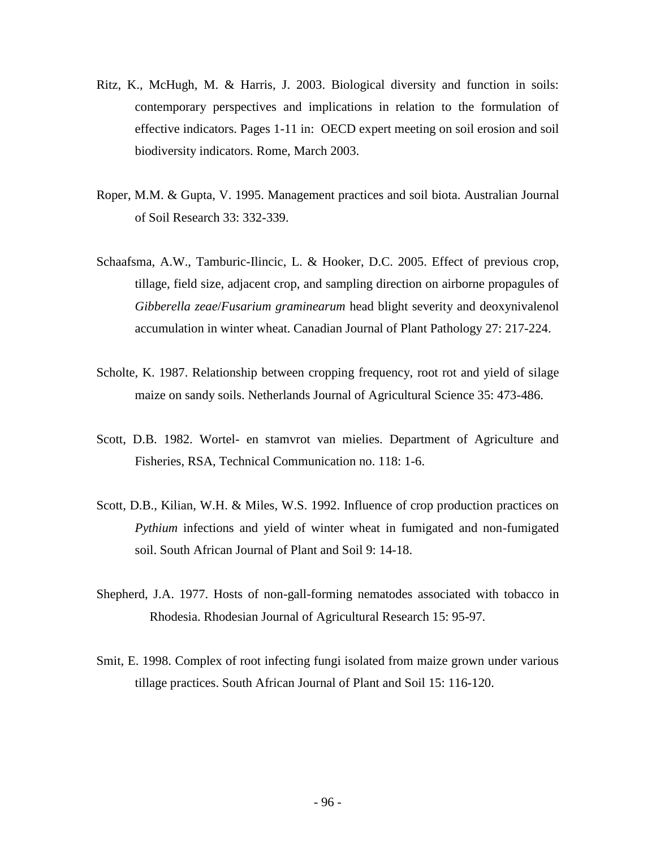- Ritz, K., McHugh, M. & Harris, J. 2003. Biological diversity and function in soils: contemporary perspectives and implications in relation to the formulation of effective indicators. Pages 1-11 in: OECD expert meeting on soil erosion and soil biodiversity indicators. Rome, March 2003.
- Roper, M.M. & Gupta, V. 1995. Management practices and soil biota. Australian Journal of Soil Research 33: 332-339.
- Schaafsma, A.W., Tamburic-Ilincic, L. & Hooker, D.C. 2005. Effect of previous crop, tillage, field size, adjacent crop, and sampling direction on airborne propagules of *Gibberella zeae*/*Fusarium graminearum* head blight severity and deoxynivalenol accumulation in winter wheat. Canadian Journal of Plant Pathology 27: 217-224.
- Scholte, K. 1987. Relationship between cropping frequency, root rot and yield of silage maize on sandy soils. Netherlands Journal of Agricultural Science 35: 473-486.
- Scott, D.B. 1982. Wortel- en stamvrot van mielies. Department of Agriculture and Fisheries, RSA, Technical Communication no. 118: 1-6.
- Scott, D.B., Kilian, W.H. & Miles, W.S. 1992. Influence of crop production practices on *Pythium* infections and yield of winter wheat in fumigated and non-fumigated soil. South African Journal of Plant and Soil 9: 14-18.
- Shepherd, J.A. 1977. Hosts of non-gall-forming nematodes associated with tobacco in Rhodesia. Rhodesian Journal of Agricultural Research 15: 95-97.
- Smit, E. 1998. Complex of root infecting fungi isolated from maize grown under various tillage practices. South African Journal of Plant and Soil 15: 116-120.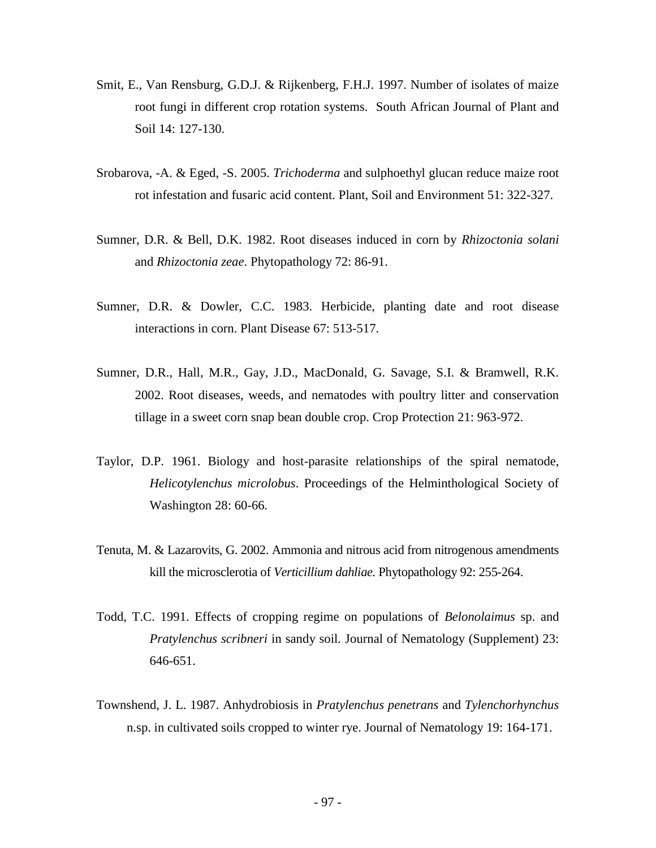- Smit, E., Van Rensburg, G.D.J. & Rijkenberg, F.H.J. 1997. Number of isolates of maize root fungi in different crop rotation systems. South African Journal of Plant and Soil 14: 127-130.
- Srobarova, -A. & Eged, -S. 2005. *Trichoderma* and sulphoethyl glucan reduce maize root rot infestation and fusaric acid content. Plant, Soil and Environment 51: 322-327.
- Sumner, D.R. & Bell, D.K. 1982. Root diseases induced in corn by *Rhizoctonia solani* and *Rhizoctonia zeae*. Phytopathology 72: 86-91.
- Sumner, D.R. & Dowler, C.C. 1983. Herbicide, planting date and root disease interactions in corn. Plant Disease 67: 513-517.
- Sumner, D.R., Hall, M.R., Gay, J.D., MacDonald, G. Savage, S.I. & Bramwell, R.K. 2002. Root diseases, weeds, and nematodes with poultry litter and conservation tillage in a sweet corn snap bean double crop. Crop Protection 21: 963-972.
- Taylor, D.P. 1961. Biology and host-parasite relationships of the spiral nematode, *Helicotylenchus microlobus*. Proceedings of the Helminthological Society of Washington 28: 60-66*.*
- Tenuta, M. & Lazarovits, G. 2002. Ammonia and nitrous acid from nitrogenous amendments kill the microsclerotia of *Verticillium dahliae.* Phytopathology 92: 255-264.
- Todd, T.C. 1991. Effects of cropping regime on populations of *Belonolaimus* sp. and *Pratylenchus scribneri* in sandy soil*.* Journal of Nematology (Supplement) 23: 646-651.
- Townshend, J. L. 1987. Anhydrobiosis in *Pratylenchus penetrans* and *Tylenchorhynchus* n.sp. in cultivated soils cropped to winter rye. Journal of Nematology 19: 164-171.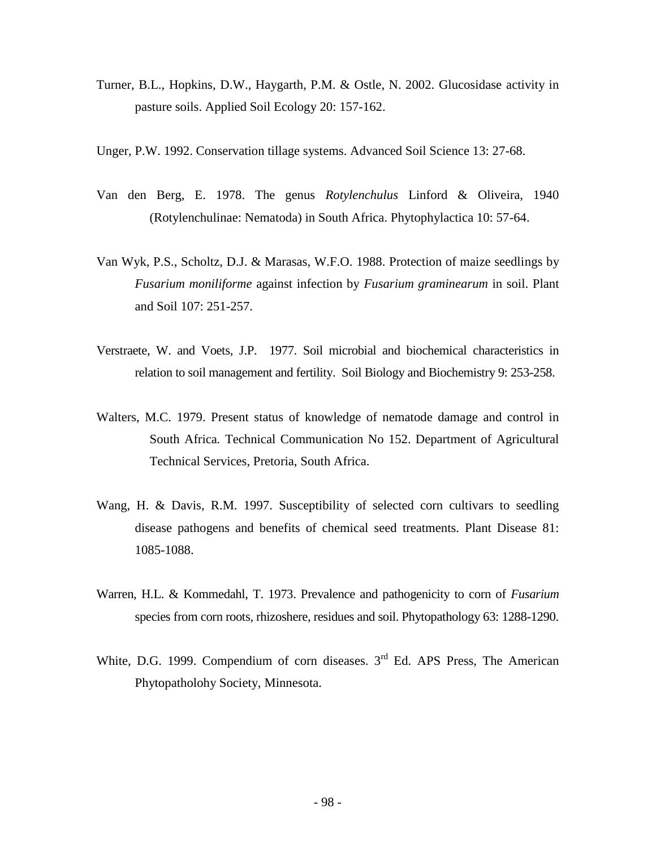- Turner, B.L., Hopkins, D.W., Haygarth, P.M. & Ostle, N. 2002. Glucosidase activity in pasture soils. Applied Soil Ecology 20: 157-162.
- Unger, P.W. 1992. Conservation tillage systems. Advanced Soil Science 13: 27-68.
- Van den Berg, E. 1978. The genus *Rotylenchulus* Linford & Oliveira, 1940 (Rotylenchulinae: Nematoda) in South Africa. Phytophylactica 10: 57-64.
- Van Wyk, P.S., Scholtz, D.J. & Marasas, W.F.O. 1988. Protection of maize seedlings by *Fusarium moniliforme* against infection by *Fusarium graminearum* in soil. Plant and Soil 107: 251-257.
- Verstraete, W. and Voets, J.P. 1977. Soil microbial and biochemical characteristics in relation to soil management and fertility. Soil Biology and Biochemistry 9: 253-258.
- Walters, M.C. 1979. Present status of knowledge of nematode damage and control in South Africa*.* Technical Communication No 152. Department of Agricultural Technical Services, Pretoria, South Africa.
- Wang, H. & Davis, R.M. 1997. Susceptibility of selected corn cultivars to seedling disease pathogens and benefits of chemical seed treatments. Plant Disease 81: 1085-1088.
- Warren, H.L. & Kommedahl, T. 1973. Prevalence and pathogenicity to corn of *Fusarium* species from corn roots, rhizoshere, residues and soil. Phytopathology 63: 1288-1290.
- White, D.G. 1999. Compendium of corn diseases.  $3<sup>rd</sup>$  Ed. APS Press, The American Phytopatholohy Society, Minnesota.